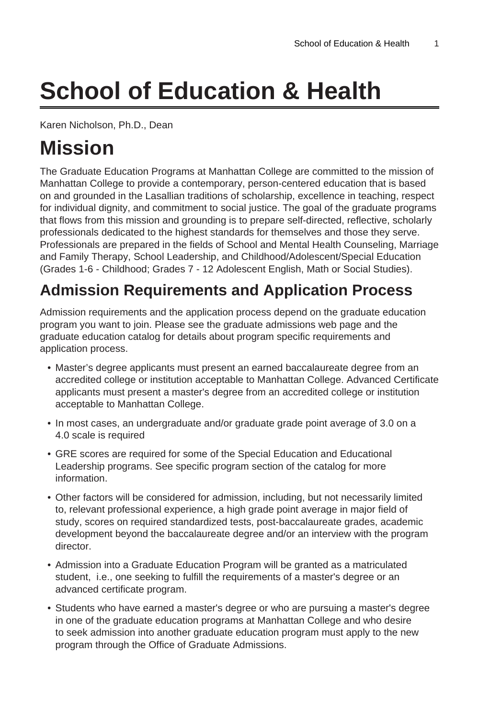# **School of Education & Health**

Karen Nicholson, Ph.D., Dean

## **Mission**

The Graduate Education Programs at Manhattan College are committed to the mission of Manhattan College to provide a contemporary, person-centered education that is based on and grounded in the Lasallian traditions of scholarship, excellence in teaching, respect for individual dignity, and commitment to social justice. The goal of the graduate programs that flows from this mission and grounding is to prepare self-directed, reflective, scholarly professionals dedicated to the highest standards for themselves and those they serve. Professionals are prepared in the fields of School and Mental Health Counseling, Marriage and Family Therapy, School Leadership, and Childhood/Adolescent/Special Education (Grades 1-6 - Childhood; Grades 7 - 12 Adolescent English, Math or Social Studies).

## **Admission Requirements and Application Process**

Admission requirements and the application process depend on the graduate education program you want to join. Please see the graduate admissions web page and the graduate education catalog for details about program specific requirements and application process.

- Master's degree applicants must present an earned baccalaureate degree from an accredited college or institution acceptable to Manhattan College. Advanced Certificate applicants must present a master's degree from an accredited college or institution acceptable to Manhattan College.
- In most cases, an undergraduate and/or graduate grade point average of 3.0 on a 4.0 scale is required
- GRE scores are required for some of the Special Education and Educational Leadership programs. See specific program section of the catalog for more information.
- Other factors will be considered for admission, including, but not necessarily limited to, relevant professional experience, a high grade point average in major field of study, scores on required standardized tests, post-baccalaureate grades, academic development beyond the baccalaureate degree and/or an interview with the program director.
- Admission into a Graduate Education Program will be granted as a matriculated student, i.e., one seeking to fulfill the requirements of a master's degree or an advanced certificate program.
- Students who have earned a master's degree or who are pursuing a master's degree in one of the graduate education programs at Manhattan College and who desire to seek admission into another graduate education program must apply to the new program through the Office of Graduate Admissions.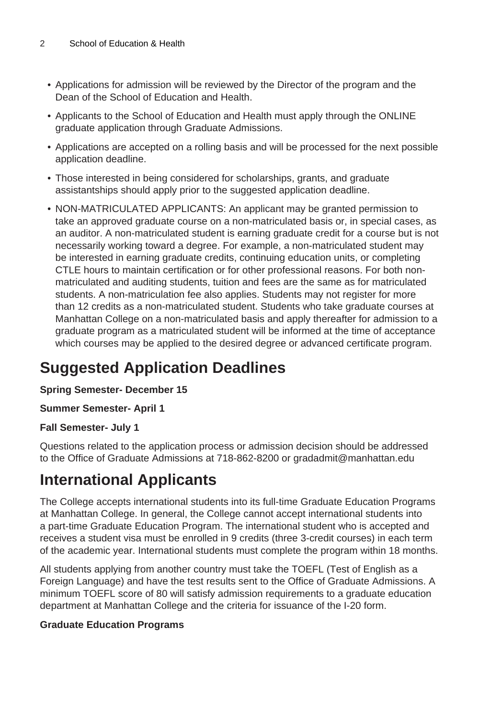- Applications for admission will be reviewed by the Director of the program and the Dean of the School of Education and Health.
- Applicants to the School of Education and Health must apply through the ONLINE graduate application through Graduate Admissions.
- Applications are accepted on a rolling basis and will be processed for the next possible application deadline.
- Those interested in being considered for scholarships, grants, and graduate assistantships should apply prior to the suggested application deadline.
- NON-MATRICULATED APPLICANTS: An applicant may be granted permission to take an approved graduate course on a non-matriculated basis or, in special cases, as an auditor. A non-matriculated student is earning graduate credit for a course but is not necessarily working toward a degree. For example, a non-matriculated student may be interested in earning graduate credits, continuing education units, or completing CTLE hours to maintain certification or for other professional reasons. For both nonmatriculated and auditing students, tuition and fees are the same as for matriculated students. A non-matriculation fee also applies. Students may not register for more than 12 credits as a non-matriculated student. Students who take graduate courses at Manhattan College on a non-matriculated basis and apply thereafter for admission to a graduate program as a matriculated student will be informed at the time of acceptance which courses may be applied to the desired degree or advanced certificate program.

## **Suggested Application Deadlines**

#### **Spring Semester- December 15**

#### **Summer Semester- April 1**

#### **Fall Semester- July 1**

Questions related to the application process or admission decision should be addressed to the Office of Graduate Admissions at 718-862-8200 or gradadmit@manhattan.edu

## **International Applicants**

The College accepts international students into its full-time Graduate Education Programs at Manhattan College. In general, the College cannot accept international students into a part-time Graduate Education Program. The international student who is accepted and receives a student visa must be enrolled in 9 credits (three 3-credit courses) in each term of the academic year. International students must complete the program within 18 months.

All students applying from another country must take the TOEFL (Test of English as a Foreign Language) and have the test results sent to the Office of Graduate Admissions. A minimum TOEFL score of 80 will satisfy admission requirements to a graduate education department at Manhattan College and the criteria for issuance of the I-20 form.

#### **Graduate Education Programs**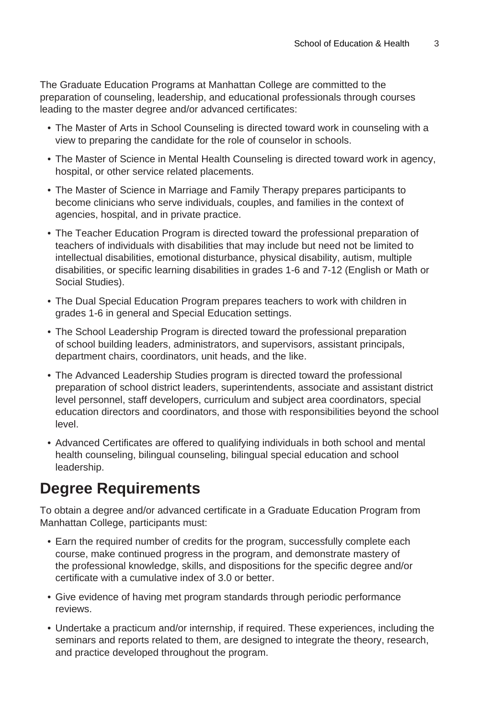The Graduate Education Programs at Manhattan College are committed to the preparation of counseling, leadership, and educational professionals through courses leading to the master degree and/or advanced certificates:

- The Master of Arts in School Counseling is directed toward work in counseling with a view to preparing the candidate for the role of counselor in schools.
- The Master of Science in Mental Health Counseling is directed toward work in agency, hospital, or other service related placements.
- The Master of Science in Marriage and Family Therapy prepares participants to become clinicians who serve individuals, couples, and families in the context of agencies, hospital, and in private practice.
- The Teacher Education Program is directed toward the professional preparation of teachers of individuals with disabilities that may include but need not be limited to intellectual disabilities, emotional disturbance, physical disability, autism, multiple disabilities, or specific learning disabilities in grades 1-6 and 7-12 (English or Math or Social Studies).
- The Dual Special Education Program prepares teachers to work with children in grades 1-6 in general and Special Education settings.
- The School Leadership Program is directed toward the professional preparation of school building leaders, administrators, and supervisors, assistant principals, department chairs, coordinators, unit heads, and the like.
- The Advanced Leadership Studies program is directed toward the professional preparation of school district leaders, superintendents, associate and assistant district level personnel, staff developers, curriculum and subject area coordinators, special education directors and coordinators, and those with responsibilities beyond the school level.
- Advanced Certificates are offered to qualifying individuals in both school and mental health counseling, bilingual counseling, bilingual special education and school leadership.

### **Degree Requirements**

To obtain a degree and/or advanced certificate in a Graduate Education Program from Manhattan College, participants must:

- Earn the required number of credits for the program, successfully complete each course, make continued progress in the program, and demonstrate mastery of the professional knowledge, skills, and dispositions for the specific degree and/or certificate with a cumulative index of 3.0 or better.
- Give evidence of having met program standards through periodic performance reviews.
- Undertake a practicum and/or internship, if required. These experiences, including the seminars and reports related to them, are designed to integrate the theory, research, and practice developed throughout the program.